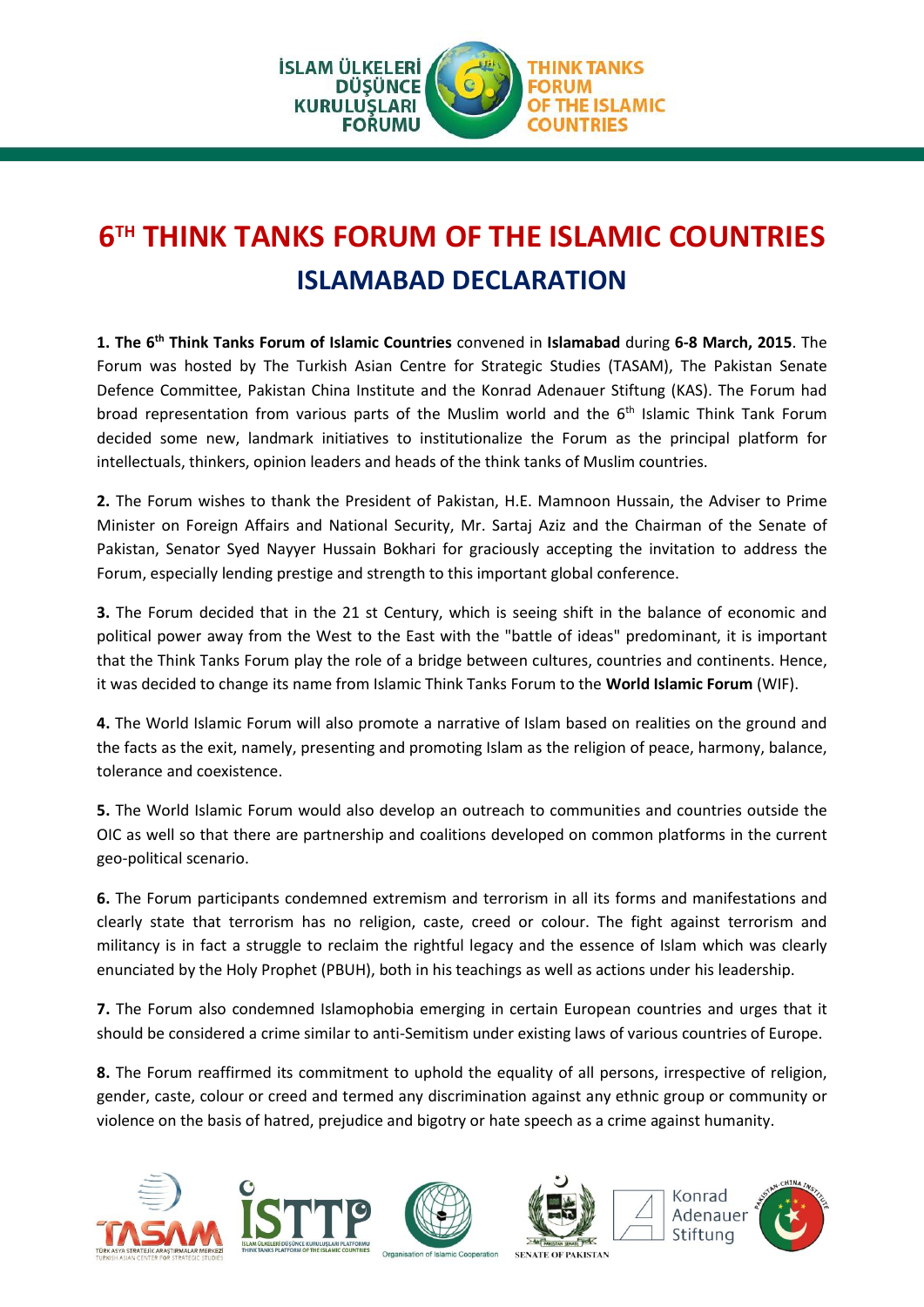

## **6 TH THINK TANKS FORUM OF THE ISLAMIC COUNTRIES ISLAMABAD DECLARATION**

**1. The 6th Think Tanks Forum of Islamic Countries** convened in **Islamabad** during **6-8 March, 2015**. The Forum was hosted by The Turkish Asian Centre for Strategic Studies (TASAM), The Pakistan Senate Defence Committee, Pakistan China Institute and the Konrad Adenauer Stiftung (KAS). The Forum had broad representation from various parts of the Muslim world and the 6<sup>th</sup> Islamic Think Tank Forum decided some new, landmark initiatives to institutionalize the Forum as the principal platform for intellectuals, thinkers, opinion leaders and heads of the think tanks of Muslim countries.

**2.** The Forum wishes to thank the President of Pakistan, H.E. Mamnoon Hussain, the Adviser to Prime Minister on Foreign Affairs and National Security, Mr. Sartaj Aziz and the Chairman of the Senate of Pakistan, Senator Syed Nayyer Hussain Bokhari for graciously accepting the invitation to address the Forum, especially lending prestige and strength to this important global conference.

**3.** The Forum decided that in the 21 st Century, which is seeing shift in the balance of economic and political power away from the West to the East with the "battle of ideas" predominant, it is important that the Think Tanks Forum play the role of a bridge between cultures, countries and continents. Hence, it was decided to change its name from Islamic Think Tanks Forum to the **World Islamic Forum** (WIF).

**4.** The World Islamic Forum will also promote a narrative of Islam based on realities on the ground and the facts as the exit, namely, presenting and promoting Islam as the religion of peace, harmony, balance, tolerance and coexistence.

**5.** The World Islamic Forum would also develop an outreach to communities and countries outside the OIC as well so that there are partnership and coalitions developed on common platforms in the current geo-political scenario.

**6.** The Forum participants condemned extremism and terrorism in all its forms and manifestations and clearly state that terrorism has no religion, caste, creed or colour. The fight against terrorism and militancy is in fact a struggle to reclaim the rightful legacy and the essence of Islam which was clearly enunciated by the Holy Prophet (PBUH), both in his teachings as well as actions under his leadership.

**7.** The Forum also condemned Islamophobia emerging in certain European countries and urges that it should be considered a crime similar to anti-Semitism under existing laws of various countries of Europe.

**8.** The Forum reaffirmed its commitment to uphold the equality of all persons, irrespective of religion, gender, caste, colour or creed and termed any discrimination against any ethnic group or community or violence on the basis of hatred, prejudice and bigotry or hate speech as a crime against humanity.